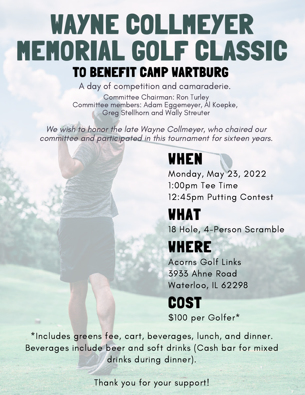# WAYNE COLLMEYER MEMORIAL GOLF CLASSIC TO BENEFIT CAMP WARTBURG

A day of competition and camaraderie.

Committee Chairman: Ron Turley Committee members: Adam Eggemeyer, Al Koepke, Greg Stellhorn and Wally Streuter

We wish to honor the late Wayne Collmeyer, who chaired our committee and participated in this tournament for sixteen years.

### WHEN

Monday, May 23, 2022 1:00pm Tee Time 12:45pm Putting Contest

### WHAT

18 Hole, 4-Person Scramble

### WHERE

Acorns Golf Links 3933 Ahne Road Waterloo, IL 62298

# **COST**

\$100 per Golfer\*

\*Includes greens fee, cart, beverages, lunch, and dinner. Beverages include beer and soft drinks (Cash bar for mixed drinks during dinner).

Thank you for your support!